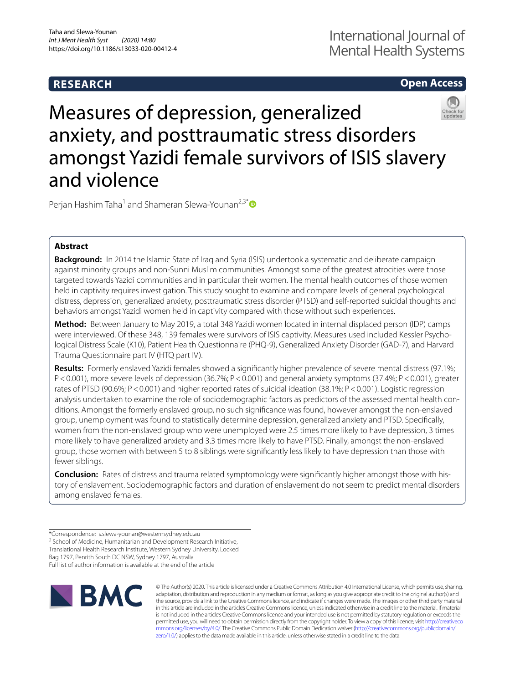# **RESEARCH**

# **Open Access**



# Measures of depression, generalized anxiety, and posttraumatic stress disorders amongst Yazidi female survivors of ISIS slavery and violence

Perjan Hashim Taha<sup>1</sup> and Shameran Slewa-Younan<sup>2,3[\\*](http://orcid.org/0000-0003-1556-5760)</sup>

## **Abstract**

**Background:** In 2014 the Islamic State of Iraq and Syria (ISIS) undertook a systematic and deliberate campaign against minority groups and non-Sunni Muslim communities. Amongst some of the greatest atrocities were those targeted towards Yazidi communities and in particular their women. The mental health outcomes of those women held in captivity requires investigation. This study sought to examine and compare levels of general psychological distress, depression, generalized anxiety, posttraumatic stress disorder (PTSD) and self-reported suicidal thoughts and behaviors amongst Yazidi women held in captivity compared with those without such experiences.

**Method:** Between January to May 2019, a total 348 Yazidi women located in internal displaced person (IDP) camps were interviewed. Of these 348, 139 females were survivors of ISIS captivity. Measures used included Kessler Psychological Distress Scale (K10), Patient Health Questionnaire (PHQ-9), Generalized Anxiety Disorder (GAD-7), and Harvard Trauma Questionnaire part IV (HTQ part IV).

**Results:** Formerly enslaved Yazidi females showed a signifcantly higher prevalence of severe mental distress (97.1%; P < 0.001), more severe levels of depression (36.7%; P < 0.001) and general anxiety symptoms (37.4%; P < 0.001), greater rates of PTSD (90.6%; P < 0.001) and higher reported rates of suicidal ideation (38.1%; P < 0.001). Logistic regression analysis undertaken to examine the role of sociodemographic factors as predictors of the assessed mental health conditions. Amongst the formerly enslaved group, no such signifcance was found, however amongst the non-enslaved group, unemployment was found to statistically determine depression, generalized anxiety and PTSD. Specifcally, women from the non-enslaved group who were unemployed were 2.5 times more likely to have depression, 3 times more likely to have generalized anxiety and 3.3 times more likely to have PTSD. Finally, amongst the non-enslaved group, those women with between 5 to 8 siblings were signifcantly less likely to have depression than those with fewer siblings.

**Conclusion:** Rates of distress and trauma related symptomology were significantly higher amongst those with history of enslavement. Sociodemographic factors and duration of enslavement do not seem to predict mental disorders among enslaved females.

<sup>2</sup> School of Medicine, Humanitarian and Development Research Initiative, Translational Health Research Institute, Western Sydney University, Locked

Bag 1797, Penrith South DC NSW, Sydney 1797, Australia

Full list of author information is available at the end of the article



© The Author(s) 2020. This article is licensed under a Creative Commons Attribution 4.0 International License, which permits use, sharing, adaptation, distribution and reproduction in any medium or format, as long as you give appropriate credit to the original author(s) and the source, provide a link to the Creative Commons licence, and indicate if changes were made. The images or other third party material in this article are included in the article's Creative Commons licence, unless indicated otherwise in a credit line to the material. If material is not included in the article's Creative Commons licence and your intended use is not permitted by statutory regulation or exceeds the permitted use, you will need to obtain permission directly from the copyright holder. To view a copy of this licence, visit [http://creativeco](http://creativecommons.org/licenses/by/4.0/) [mmons.org/licenses/by/4.0/.](http://creativecommons.org/licenses/by/4.0/) The Creative Commons Public Domain Dedication waiver ([http://creativecommons.org/publicdomain/](http://creativecommons.org/publicdomain/zero/1.0/) [zero/1.0/\)](http://creativecommons.org/publicdomain/zero/1.0/) applies to the data made available in this article, unless otherwise stated in a credit line to the data.

<sup>\*</sup>Correspondence: s.slewa‑younan@westernsydney.edu.au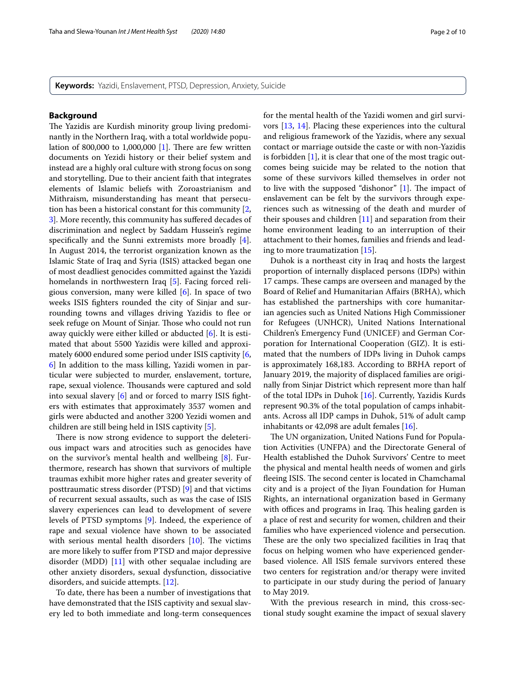**Keywords:** Yazidi, Enslavement, PTSD, Depression, Anxiety, Suicide

## **Background**

The Yazidis are Kurdish minority group living predominantly in the Northern Iraq, with a total worldwide population of 800,000 to 1,000,000  $[1]$  $[1]$ . There are few written documents on Yezidi history or their belief system and instead are a highly oral culture with strong focus on song and storytelling. Due to their ancient faith that integrates elements of Islamic beliefs with Zoroastrianism and Mithraism, misunderstanding has meant that persecution has been a historical constant for this community [\[2](#page-8-1), [3\]](#page-8-2). More recently, this community has sufered decades of discrimination and neglect by Saddam Hussein's regime specifcally and the Sunni extremists more broadly [\[4](#page-8-3)]. In August 2014, the terrorist organization known as the Islamic State of Iraq and Syria (ISIS) attacked began one of most deadliest genocides committed against the Yazidi homelands in northwestern Iraq [[5](#page-8-4)]. Facing forced religious conversion, many were killed  $[6]$  $[6]$ . In space of two weeks ISIS fghters rounded the city of Sinjar and surrounding towns and villages driving Yazidis to flee or seek refuge on Mount of Sinjar. Those who could not run away quickly were either killed or abducted [\[6](#page-8-5)]. It is estimated that about 5500 Yazidis were killed and approximately 6000 endured some period under ISIS captivity [\[6](#page-8-5), [6\]](#page-8-5) In addition to the mass killing, Yazidi women in particular were subjected to murder, enslavement, torture, rape, sexual violence. Thousands were captured and sold into sexual slavery [[6\]](#page-8-5) and or forced to marry ISIS fghters with estimates that approximately 3537 women and girls were abducted and another 3200 Yezidi women and children are still being held in ISIS captivity [[5\]](#page-8-4).

There is now strong evidence to support the deleterious impact wars and atrocities such as genocides have on the survivor's mental health and wellbeing [[8\]](#page-9-0). Furthermore, research has shown that survivors of multiple traumas exhibit more higher rates and greater severity of posttraumatic stress disorder (PTSD) [\[9](#page-9-1)] and that victims of recurrent sexual assaults, such as was the case of ISIS slavery experiences can lead to development of severe levels of PTSD symptoms [[9\]](#page-9-1). Indeed, the experience of rape and sexual violence have shown to be associated with serious mental health disorders  $[10]$  $[10]$ . The victims are more likely to sufer from PTSD and major depressive disorder (MDD) [[11\]](#page-9-3) with other sequalae including are other anxiety disorders, sexual dysfunction, dissociative disorders, and suicide attempts. [[12](#page-9-4)].

To date, there has been a number of investigations that have demonstrated that the ISIS captivity and sexual slavery led to both immediate and long-term consequences for the mental health of the Yazidi women and girl survivors [\[13](#page-9-5), [14\]](#page-9-6). Placing these experiences into the cultural and religious framework of the Yazidis, where any sexual contact or marriage outside the caste or with non-Yazidis is forbidden  $[1]$  $[1]$ , it is clear that one of the most tragic outcomes being suicide may be related to the notion that some of these survivors killed themselves in order not to live with the supposed "dishonor"  $[1]$  $[1]$ . The impact of enslavement can be felt by the survivors through experiences such as witnessing of the death and murder of their spouses and children [\[11](#page-9-3)] and separation from their home environment leading to an interruption of their attachment to their homes, families and friends and leading to more traumatization [\[15](#page-9-7)].

Duhok is a northeast city in Iraq and hosts the largest proportion of internally displaced persons (IDPs) within 17 camps. These camps are overseen and managed by the Board of Relief and Humanitarian Afairs (BRHA), which has established the partnerships with core humanitarian agencies such as United Nations High Commissioner for Refugees (UNHCR), United Nations International Children's Emergency Fund (UNICEF) and German Corporation for International Cooperation (GIZ). It is estimated that the numbers of IDPs living in Duhok camps is approximately 168,183. According to BRHA report of January 2019, the majority of displaced families are originally from Sinjar District which represent more than half of the total IDPs in Duhok [\[16](#page-9-8)]. Currently, Yazidis Kurds represent 90.3% of the total population of camps inhabitants. Across all IDP camps in Duhok, 51% of adult camp inhabitants or 42,098 are adult females [[16\]](#page-9-8).

The UN organization, United Nations Fund for Population Activities (UNFPA) and the Directorate General of Health established the Duhok Survivors' Centre to meet the physical and mental health needs of women and girls fleeing ISIS. The second center is located in Chamchamal city and is a project of the Jiyan Foundation for Human Rights, an international organization based in Germany with offices and programs in Iraq. This healing garden is a place of rest and security for women, children and their families who have experienced violence and persecution. These are the only two specialized facilities in Iraq that focus on helping women who have experienced genderbased violence. All ISIS female survivors entered these two centers for registration and/or therapy were invited to participate in our study during the period of January to May 2019.

With the previous research in mind, this cross-sectional study sought examine the impact of sexual slavery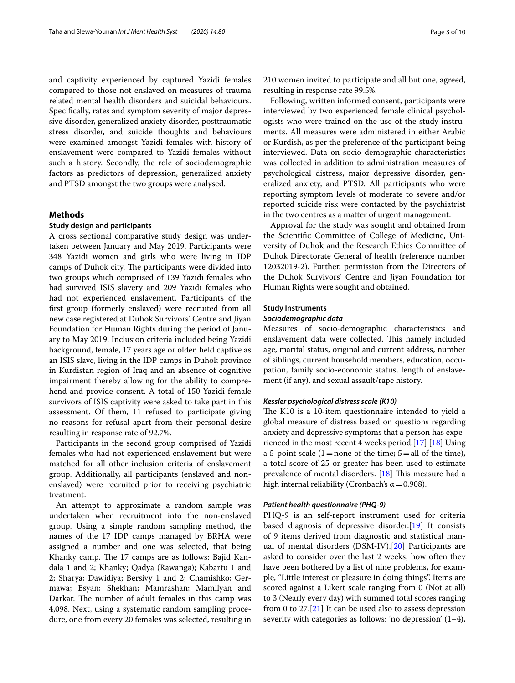and captivity experienced by captured Yazidi females compared to those not enslaved on measures of trauma related mental health disorders and suicidal behaviours. Specifcally, rates and symptom severity of major depressive disorder, generalized anxiety disorder, posttraumatic stress disorder, and suicide thoughts and behaviours were examined amongst Yazidi females with history of enslavement were compared to Yazidi females without such a history. Secondly, the role of sociodemographic factors as predictors of depression, generalized anxiety and PTSD amongst the two groups were analysed.

## **Methods**

## **Study design and participants**

A cross sectional comparative study design was undertaken between January and May 2019. Participants were 348 Yazidi women and girls who were living in IDP camps of Duhok city. The participants were divided into two groups which comprised of 139 Yazidi females who had survived ISIS slavery and 209 Yazidi females who had not experienced enslavement. Participants of the frst group (formerly enslaved) were recruited from all new case registered at Duhok Survivors' Centre and Jiyan Foundation for Human Rights during the period of January to May 2019. Inclusion criteria included being Yazidi background, female, 17 years age or older, held captive as an ISIS slave, living in the IDP camps in Duhok province in Kurdistan region of Iraq and an absence of cognitive impairment thereby allowing for the ability to comprehend and provide consent. A total of 150 Yazidi female survivors of ISIS captivity were asked to take part in this assessment. Of them, 11 refused to participate giving no reasons for refusal apart from their personal desire resulting in response rate of 92.7%.

Participants in the second group comprised of Yazidi females who had not experienced enslavement but were matched for all other inclusion criteria of enslavement group. Additionally, all participants (enslaved and nonenslaved) were recruited prior to receiving psychiatric treatment.

An attempt to approximate a random sample was undertaken when recruitment into the non-enslaved group. Using a simple random sampling method, the names of the 17 IDP camps managed by BRHA were assigned a number and one was selected, that being Khanky camp. The 17 camps are as follows: Bajid Kandala 1 and 2; Khanky; Qadya (Rawanga); Kabartu 1 and 2; Sharya; Dawidiya; Bersivy 1 and 2; Chamishko; Germawa; Esyan; Shekhan; Mamrashan; Mamilyan and Darkar. The number of adult females in this camp was 4,098. Next, using a systematic random sampling procedure, one from every 20 females was selected, resulting in 210 women invited to participate and all but one, agreed, resulting in response rate 99.5%.

Following, written informed consent, participants were interviewed by two experienced female clinical psychologists who were trained on the use of the study instruments. All measures were administered in either Arabic or Kurdish, as per the preference of the participant being interviewed. Data on socio-demographic characteristics was collected in addition to administration measures of psychological distress, major depressive disorder, generalized anxiety, and PTSD. All participants who were reporting symptom levels of moderate to severe and/or reported suicide risk were contacted by the psychiatrist in the two centres as a matter of urgent management.

Approval for the study was sought and obtained from the Scientifc Committee of College of Medicine, University of Duhok and the Research Ethics Committee of Duhok Directorate General of health (reference number 12032019-2). Further, permission from the Directors of the Duhok Survivors' Centre and Jiyan Foundation for Human Rights were sought and obtained.

#### **Study Instruments**

## *Sociodemographic data*

Measures of socio-demographic characteristics and enslavement data were collected. This namely included age, marital status, original and current address, number of siblings, current household members, education, occupation, family socio-economic status, length of enslavement (if any), and sexual assault/rape history.

## *Kessler psychological distress scale (K10)*

The K10 is a 10-item questionnaire intended to yield a global measure of distress based on questions regarding anxiety and depressive symptoms that a person has experienced in the most recent 4 weeks period.[[17\]](#page-9-9) [[18](#page-9-10)] Using a 5-point scale  $(1=$  none of the time;  $5=$ all of the time), a total score of 25 or greater has been used to estimate prevalence of mental disorders.  $[18]$  $[18]$  This measure had a high internal reliability (Cronbach's  $\alpha$  = 0.908).

## *Patient health questionnaire (PHQ‑9)*

PHQ-9 is an self-report instrument used for criteria based diagnosis of depressive disorder.[\[19](#page-9-11)] It consists of 9 items derived from diagnostic and statistical manual of mental disorders (DSM-IV).[\[20](#page-9-12)] Participants are asked to consider over the last 2 weeks, how often they have been bothered by a list of nine problems, for example, "Little interest or pleasure in doing things". Items are scored against a Likert scale ranging from 0 (Not at all) to 3 (Nearly every day) with summed total scores ranging from 0 to 27.[\[21](#page-9-13)] It can be used also to assess depression severity with categories as follows: 'no depression' (1–4),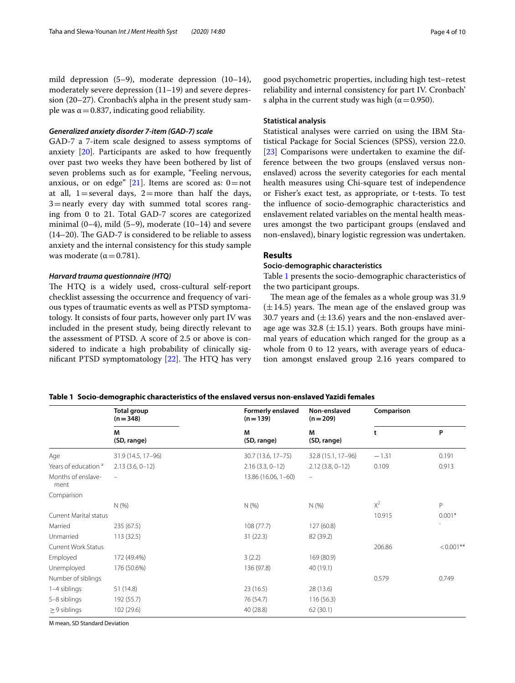mild depression (5–9), moderate depression (10–14), moderately severe depression (11–19) and severe depression (20–27). Cronbach's alpha in the present study sample was  $\alpha$  = 0.837, indicating good reliability.

## *Generalized anxiety disorder 7‑item (GAD‑7) scale*

GAD-7 a 7-item scale designed to assess symptoms of anxiety [\[20](#page-9-12)]. Participants are asked to how frequently over past two weeks they have been bothered by list of seven problems such as for example, "Feeling nervous, anxious, or on edge"  $[21]$  $[21]$ . Items are scored as:  $0 = not$ at all,  $1 =$  several days,  $2 =$  more than half the days, 3=nearly every day with summed total scores ranging from 0 to 21. Total GAD-7 scores are categorized minimal  $(0-4)$ , mild  $(5-9)$ , moderate  $(10-14)$  and severe  $(14–20)$ . The GAD-7 is considered to be reliable to assess anxiety and the internal consistency for this study sample was moderate ( $\alpha$  = 0.781).

## *Harvard trauma questionnaire (HTQ)*

The HTQ is a widely used, cross-cultural self-report checklist assessing the occurrence and frequency of various types of traumatic events as well as PTSD symptomatology. It consists of four parts, however only part IV was included in the present study, being directly relevant to the assessment of PTSD. A score of 2.5 or above is considered to indicate a high probability of clinically significant PTSD symptomatology  $[22]$  $[22]$  $[22]$ . The HTQ has very good psychometric properties, including high test–retest reliability and internal consistency for part IV. Cronbach' s alpha in the current study was high ( $\alpha$  = 0.950).

## **Statistical analysis**

Statistical analyses were carried on using the IBM Statistical Package for Social Sciences (SPSS), version 22.0. [[23\]](#page-9-15) Comparisons were undertaken to examine the difference between the two groups (enslaved versus nonenslaved) across the severity categories for each mental health measures using Chi-square test of independence or Fisher's exact test, as appropriate, or t-tests. To test the infuence of socio-demographic characteristics and enslavement related variables on the mental health measures amongst the two participant groups (enslaved and non-enslaved), binary logistic regression was undertaken.

## **Results**

### **Socio‑demographic characteristics**

Table [1](#page-3-0) presents the socio-demographic characteristics of the two participant groups.

The mean age of the females as a whole group was 31.9  $(\pm 14.5)$  years. The mean age of the enslaved group was 30.7 years and  $(\pm 13.6)$  years and the non-enslaved average age was 32.8 ( $\pm$ 15.1) years. Both groups have minimal years of education which ranged for the group as a whole from 0 to 12 years, with average years of education amongst enslaved group 2.16 years compared to

## <span id="page-3-0"></span>**Table 1 Socio-demographic characteristics of the enslaved versus non-enslaved Yazidi females**

|                                 | <b>Total group</b><br>$(n=348)$ | Formerly enslaved<br>$(n=139)$ | Non-enslaved<br>$(n=209)$ | Comparison |              |
|---------------------------------|---------------------------------|--------------------------------|---------------------------|------------|--------------|
|                                 | M<br>(SD, range)                | M<br>(SD, range)               | М<br>(SD, range)          | t          | P            |
| Age                             | 31.9 (14.5, 17-96)              | 30.7 (13.6, 17-75)             | 32.8 (15.1, 17-96)        | $-1.31$    | 0.191        |
| Years of education <sup>a</sup> | $2.13(3.6, 0-12)$               | $2.16(3.3, 0 - 12)$            | $2.12(3.8, 0-12)$         | 0.109      | 0.913        |
| Months of enslave-<br>ment      | $\qquad \qquad -$               | 13.86 (16.06, 1-60)            | -                         |            |              |
| Comparison                      |                                 |                                |                           |            |              |
|                                 | N(%                             | N(% )                          | N(%                       | $X^2$      | P            |
| Current Marital status          |                                 |                                |                           | 10.915     | $0.001*$     |
| Married                         | 235 (67.5)                      | 108 (77.7)                     | 127 (60.8)                |            | $\mathbf{v}$ |
| Unmarried                       | 113 (32.5)                      | 31(22.3)                       | 82 (39.2)                 |            |              |
| Current Work Status             |                                 |                                |                           | 206.86     | $< 0.001$ ** |
| Employed                        | 172 (49.4%)                     | 3(2.2)                         | 169 (80.9)                |            |              |
| Unemployed                      | 176 (50.6%)                     | 136 (97.8)                     | 40 (19.1)                 |            |              |
| Number of siblings              |                                 |                                |                           | 0.579      | 0.749        |
| 1-4 siblings                    | 51(14.8)                        | 23(16.5)                       | 28 (13.6)                 |            |              |
| 5-8 siblings                    | 192 (55.7)                      | 76 (54.7)                      | 116 (56.3)                |            |              |
| $\geq$ 9 siblings               | 102 (29.6)                      | 40 (28.8)                      | 62(30.1)                  |            |              |

M mean, SD Standard Deviation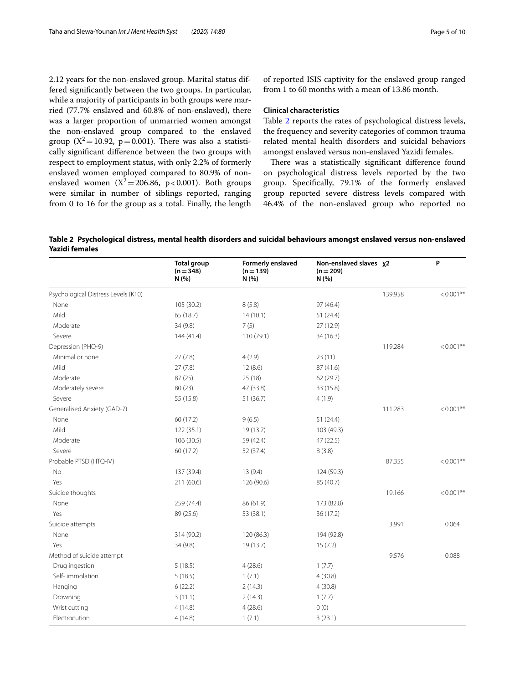2.12 years for the non-enslaved group. Marital status differed signifcantly between the two groups. In particular, while a majority of participants in both groups were married (77.7% enslaved and 60.8% of non-enslaved), there was a larger proportion of unmarried women amongst the non-enslaved group compared to the enslaved group ( $X^2$ =10.92, p=0.001). There was also a statistically signifcant diference between the two groups with respect to employment status, with only 2.2% of formerly enslaved women employed compared to 80.9% of nonenslaved women  $(X^2=206.86, p<0.001)$ . Both groups were similar in number of siblings reported, ranging from 0 to 16 for the group as a total. Finally, the length of reported ISIS captivity for the enslaved group ranged from 1 to 60 months with a mean of 13.86 month.

## **Clinical characteristics**

Table [2](#page-4-0) reports the rates of psychological distress levels, the frequency and severity categories of common trauma related mental health disorders and suicidal behaviors amongst enslaved versus non-enslaved Yazidi females.

There was a statistically significant difference found on psychological distress levels reported by the two group. Specifcally, 79.1% of the formerly enslaved group reported severe distress levels compared with 46.4% of the non-enslaved group who reported no

<span id="page-4-0"></span>

|                | Table 2 Psychological distress, mental health disorders and suicidal behaviours amongst enslaved versus non-enslaved |  |  |
|----------------|----------------------------------------------------------------------------------------------------------------------|--|--|
| Yazidi females |                                                                                                                      |  |  |

|                                     | <b>Total group</b><br>$(n = 348)$<br>N (%) | Formerly enslaved<br>$(n = 139)$<br>N(% ) | Non-enslaved slaves x2<br>$(n = 209)$<br>N(% |         | P            |
|-------------------------------------|--------------------------------------------|-------------------------------------------|----------------------------------------------|---------|--------------|
| Psychological Distress Levels (K10) |                                            |                                           |                                              | 139.958 | $< 0.001$ ** |
| None                                | 105 (30.2)                                 | 8(5.8)                                    | 97 (46.4)                                    |         |              |
| Mild                                | 65 (18.7)                                  | 14(10.1)                                  | 51(24.4)                                     |         |              |
| Moderate                            | 34 (9.8)                                   | 7(5)                                      | 27 (12.9)                                    |         |              |
| Severe                              | 144(41.4)                                  | 110 (79.1)                                | 34 (16.3)                                    |         |              |
| Depression (PHQ-9)                  |                                            |                                           |                                              | 119.284 | $< 0.001$ ** |
| Minimal or none                     | 27(7.8)                                    | 4(2.9)                                    | 23(11)                                       |         |              |
| Mild                                | 27(7.8)                                    | 12(8.6)                                   | 87 (41.6)                                    |         |              |
| Moderate                            | 87(25)                                     | 25 (18)                                   | 62 (29.7)                                    |         |              |
| Moderately severe                   | 80(23)                                     | 47 (33.8)                                 | 33 (15.8)                                    |         |              |
| Severe                              | 55 (15.8)                                  | 51 (36.7)                                 | 4(1.9)                                       |         |              |
| Generalised Anxiety (GAD-7)         |                                            |                                           |                                              | 111.283 | $< 0.001$ ** |
| None                                | 60 (17.2)                                  | 9(6.5)                                    | 51(24.4)                                     |         |              |
| Mild                                | 122(35.1)                                  | 19 (13.7)                                 | 103 (49.3)                                   |         |              |
| Moderate                            | 106 (30.5)                                 | 59 (42.4)                                 | 47 (22.5)                                    |         |              |
| Severe                              | 60 (17.2)                                  | 52 (37.4)                                 | 8(3.8)                                       |         |              |
| Probable PTSD (HTQ-IV)              |                                            |                                           |                                              | 87.355  | $< 0.001$ ** |
| No                                  | 137 (39.4)                                 | 13 (9.4)                                  | 124 (59.3)                                   |         |              |
| Yes                                 | 211 (60.6)                                 | 126 (90.6)                                | 85 (40.7)                                    |         |              |
| Suicide thoughts                    |                                            |                                           |                                              | 19.166  | $< 0.001$ ** |
| None                                | 259 (74.4)                                 | 86 (61.9)                                 | 173 (82.8)                                   |         |              |
| Yes                                 | 89 (25.6)                                  | 53 (38.1)                                 | 36 (17.2)                                    |         |              |
| Suicide attempts                    |                                            |                                           |                                              | 3.991   | 0.064        |
| None                                | 314 (90.2)                                 | 120 (86.3)                                | 194 (92.8)                                   |         |              |
| Yes                                 | 34 (9.8)                                   | 19 (13.7)                                 | 15(7.2)                                      |         |              |
| Method of suicide attempt           |                                            |                                           |                                              | 9.576   | 0.088        |
| Drug ingestion                      | 5(18.5)                                    | 4(28.6)                                   | 1(7.7)                                       |         |              |
| Self- immolation                    | 5(18.5)                                    | 1(7.1)                                    | 4(30.8)                                      |         |              |
| Hanging                             | 6(22.2)                                    | 2(14.3)                                   | 4(30.8)                                      |         |              |
| Drowning                            | 3(11.1)                                    | 2(14.3)                                   | 1(7.7)                                       |         |              |
| Wrist cutting                       | 4(14.8)                                    | 4(28.6)                                   | 0(0)                                         |         |              |
| Electrocution                       | 4(14.8)                                    | 1(7.1)                                    | 3(23.1)                                      |         |              |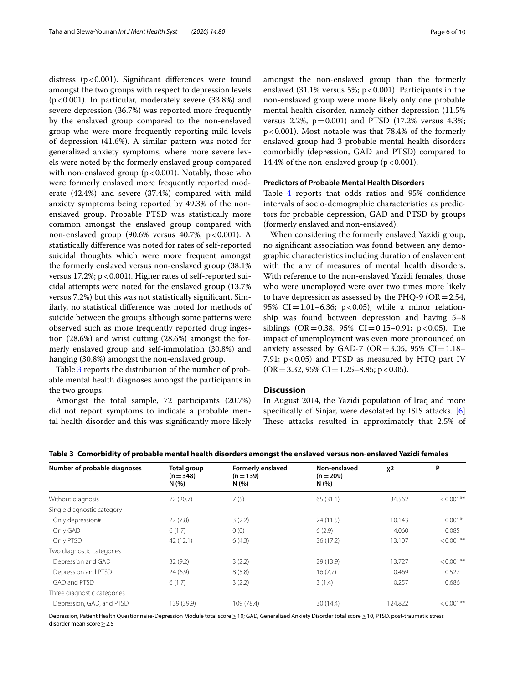distress ( $p < 0.001$ ). Significant differences were found amongst the two groups with respect to depression levels (p<0.001). In particular, moderately severe (33.8%) and severe depression (36.7%) was reported more frequently by the enslaved group compared to the non-enslaved group who were more frequently reporting mild levels of depression (41.6%). A similar pattern was noted for generalized anxiety symptoms, where more severe levels were noted by the formerly enslaved group compared with non-enslaved group  $(p < 0.001)$ . Notably, those who were formerly enslaved more frequently reported moderate (42.4%) and severe (37.4%) compared with mild anxiety symptoms being reported by 49.3% of the nonenslaved group. Probable PTSD was statistically more common amongst the enslaved group compared with non-enslaved group (90.6% versus 40.7%;  $p < 0.001$ ). A statistically diference was noted for rates of self-reported suicidal thoughts which were more frequent amongst the formerly enslaved versus non-enslaved group (38.1% versus 17.2%; p<0.001). Higher rates of self-reported suicidal attempts were noted for the enslaved group (13.7% versus 7.2%) but this was not statistically signifcant. Similarly, no statistical diference was noted for methods of suicide between the groups although some patterns were observed such as more frequently reported drug ingestion (28.6%) and wrist cutting (28.6%) amongst the formerly enslaved group and self-immolation (30.8%) and hanging (30.8%) amongst the non-enslaved group.

Table [3](#page-5-0) reports the distribution of the number of probable mental health diagnoses amongst the participants in the two groups.

Amongst the total sample, 72 participants (20.7%) did not report symptoms to indicate a probable mental health disorder and this was signifcantly more likely amongst the non-enslaved group than the formerly enslaved  $(31.1\%$  versus 5%; p < 0.001). Participants in the non-enslaved group were more likely only one probable mental health disorder, namely either depression (11.5% versus 2.2%,  $p = 0.001$ ) and PTSD (17.2% versus 4.3%; p<0.001). Most notable was that 78.4% of the formerly enslaved group had 3 probable mental health disorders comorbidly (depression, GAD and PTSD) compared to 14.4% of the non-enslaved group  $(p < 0.001)$ .

## **Predictors of Probable Mental Health Disorders**

Table [4](#page-6-0) reports that odds ratios and 95% confdence intervals of socio-demographic characteristics as predictors for probable depression, GAD and PTSD by groups (formerly enslaved and non-enslaved).

When considering the formerly enslaved Yazidi group, no signifcant association was found between any demographic characteristics including duration of enslavement with the any of measures of mental health disorders. With reference to the non-enslaved Yazidi females, those who were unemployed were over two times more likely to have depression as assessed by the PHQ-9 ( $OR = 2.54$ , 95% CI=1.01-6.36; p<0.05), while a minor relationship was found between depression and having 5–8 siblings (OR=0.38, 95% CI=0.15–0.91; p<0.05). The impact of unemployment was even more pronounced on anxiety assessed by GAD-7 (OR=3.05, 95% CI=1.18– 7.91;  $p < 0.05$ ) and PTSD as measured by HTQ part IV  $(OR = 3.32, 95\% CI = 1.25-8.85; p < 0.05).$ 

## **Discussion**

In August 2014, the Yazidi population of Iraq and more specifcally of Sinjar, were desolated by ISIS attacks. [\[6](#page-8-5)] These attacks resulted in approximately that 2.5% of

| Number of probable diagnoses | <b>Total group</b><br>$(n = 348)$<br>N(%) | <b>Formerly enslaved</b><br>(n = 139)<br>N(% | Non-enslaved<br>$(n=209)$<br>N(%) | χ2      | P            |
|------------------------------|-------------------------------------------|----------------------------------------------|-----------------------------------|---------|--------------|
| Without diagnosis            | 72 (20.7)                                 | 7(5)                                         | 65(31.1)                          | 34.562  | $< 0.001$ ** |
| Single diagnostic category   |                                           |                                              |                                   |         |              |
| Only depression#             | 27(7.8)                                   | 3(2.2)                                       | 24(11.5)                          | 10.143  | $0.001*$     |
| Only GAD                     | 6(1.7)                                    | 0(0)                                         | 6(2.9)                            | 4.060   | 0.085        |
| Only PTSD                    | 42 (12.1)                                 | 6(4.3)                                       | 36(17.2)                          | 13.107  | $< 0.001$ ** |
| Two diagnostic categories    |                                           |                                              |                                   |         |              |
| Depression and GAD           | 32(9.2)                                   | 3(2.2)                                       | 29 (13.9)                         | 13.727  | $< 0.001$ ** |
| Depression and PTSD          | 24(6.9)                                   | 8(5.8)                                       | 16(7.7)                           | 0.469   | 0.527        |
| GAD and PTSD                 | 6(1.7)                                    | 3(2.2)                                       | 3(1.4)                            | 0.257   | 0.686        |
| Three diagnostic categories  |                                           |                                              |                                   |         |              |
| Depression, GAD, and PTSD    | 139 (39.9)                                | 109 (78.4)                                   | 30(14.4)                          | 124.822 | $< 0.001$ ** |

<span id="page-5-0"></span>**Table 3 Comorbidity of probable mental health disorders amongst the enslaved versus non-enslaved Yazidi females**

Depression, Patient Health Questionnaire-Depression Module total score≥10; GAD, Generalized Anxiety Disorder total score≥10, PTSD, post-traumatic stress disorder mean score≥2.5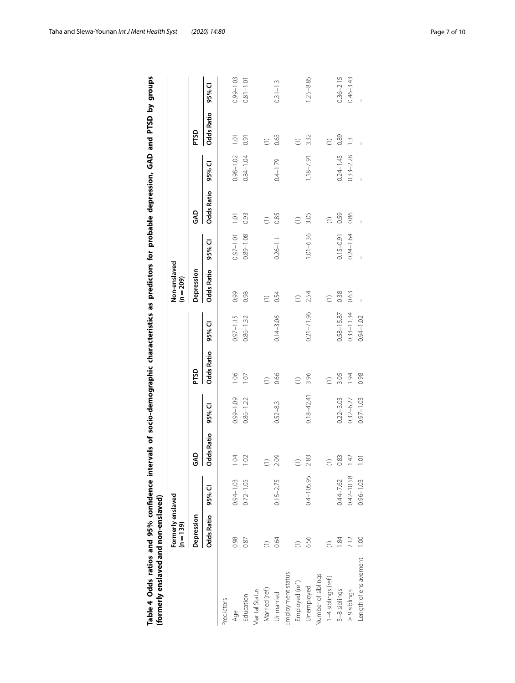| PTSD<br>0.89<br>0.63<br>3.32<br>$\overline{0}$ .<br>0.91<br>$\frac{3}{2}$<br>$\widehat{\epsilon}$<br>$\widehat{\epsilon}$<br>$0.98 - 1.02$<br>$0.24 - 1.45$<br>$0.33 - 2.28$<br>$0.84 - 1.04$<br>$1.18 - 7.91$<br>$0.4 - 1.79$<br>95% CI<br><b>Odds Ratio</b><br>GAD<br>0.93<br>0.59<br>0.86<br>0.85<br>3.05<br>$\overline{0}$<br>$\widehat{E}$<br>$\widehat{c}$<br>$1.01 - 6.36$<br>$0.89 - 1.08$<br>$0.24 - 1.64$<br>$0.97 - 1.01$<br>$0.15 - 0.91$<br>$0.26 - 1.1$<br>95% CI<br>I<br>Depression<br><b>Odds Ratio</b><br>0.99<br>0.98<br>0.54<br>2.54<br>0.38<br>0.63<br>$\widehat{\epsilon}$<br>$\begin{array}{c} \end{array}$<br>$0.21 - 71.96$<br>$0.58 - 15.87$<br>$0.33 - 11.34$<br>$0.97 - 1.15$<br>$0.86 - 1.32$<br>$0.14 - 3.06$<br>$0.94 - 1.02$<br>95% CI<br><b>Odds Ratio</b><br>PTSD<br>0.66<br>3.96<br>0.98<br>0001<br>3.05<br>$\overline{6}$<br>$\overline{0}$ .<br>$0.18 - 42.41$<br>$0.99 - 1.09$<br>$0.86 - 1.22$<br>$0.22 - 3.03$<br>$0.97 - 1.03$<br>$0.32 - 6.27$<br>$0.52 - 8.3$<br>95% CI<br><b>Odds Ratio</b><br>GAD<br>2.09<br>2.83<br>0.83<br>42<br>$\overline{5}$<br>$\Omega$<br>ā<br>$0.42 - 10.58$<br>$0.4 - 105.95$<br>$0.94 - 1.03$<br>$0.44 - 7.62$<br>$0.72 - 1.05$<br>$0.15 - 2.75$<br>$0.96 - 1.03$<br>95% CI<br>Depression<br><b>Odds Ratio</b><br>0.98<br>6.56<br>0.64<br>$\frac{1}{84}$<br>2.12<br>00.1<br>0.87<br>Length of enslavement<br>Employment status<br>Number of siblings<br>1-4 siblings (ref)<br>Employed (ref)<br>Unemployed<br>Married (ref)<br>Marital Status<br>5-8 siblings<br>> 9 siblings<br>Unmarried<br>Education<br>Predictors<br>Age | Formerly enslaved<br>$(n=139)$ |  |  | Non-enslaved<br>$(n=209)$ |  |                   |                |
|----------------------------------------------------------------------------------------------------------------------------------------------------------------------------------------------------------------------------------------------------------------------------------------------------------------------------------------------------------------------------------------------------------------------------------------------------------------------------------------------------------------------------------------------------------------------------------------------------------------------------------------------------------------------------------------------------------------------------------------------------------------------------------------------------------------------------------------------------------------------------------------------------------------------------------------------------------------------------------------------------------------------------------------------------------------------------------------------------------------------------------------------------------------------------------------------------------------------------------------------------------------------------------------------------------------------------------------------------------------------------------------------------------------------------------------------------------------------------------------------------------------------------------------------------------------------------------------------------|--------------------------------|--|--|---------------------------|--|-------------------|----------------|
|                                                                                                                                                                                                                                                                                                                                                                                                                                                                                                                                                                                                                                                                                                                                                                                                                                                                                                                                                                                                                                                                                                                                                                                                                                                                                                                                                                                                                                                                                                                                                                                                    |                                |  |  |                           |  |                   |                |
|                                                                                                                                                                                                                                                                                                                                                                                                                                                                                                                                                                                                                                                                                                                                                                                                                                                                                                                                                                                                                                                                                                                                                                                                                                                                                                                                                                                                                                                                                                                                                                                                    |                                |  |  |                           |  | <b>Odds Ratio</b> | 95% CI         |
|                                                                                                                                                                                                                                                                                                                                                                                                                                                                                                                                                                                                                                                                                                                                                                                                                                                                                                                                                                                                                                                                                                                                                                                                                                                                                                                                                                                                                                                                                                                                                                                                    |                                |  |  |                           |  |                   |                |
|                                                                                                                                                                                                                                                                                                                                                                                                                                                                                                                                                                                                                                                                                                                                                                                                                                                                                                                                                                                                                                                                                                                                                                                                                                                                                                                                                                                                                                                                                                                                                                                                    |                                |  |  |                           |  |                   | $0.99 - 1.03$  |
|                                                                                                                                                                                                                                                                                                                                                                                                                                                                                                                                                                                                                                                                                                                                                                                                                                                                                                                                                                                                                                                                                                                                                                                                                                                                                                                                                                                                                                                                                                                                                                                                    |                                |  |  |                           |  |                   | $0.81 - 1.01$  |
|                                                                                                                                                                                                                                                                                                                                                                                                                                                                                                                                                                                                                                                                                                                                                                                                                                                                                                                                                                                                                                                                                                                                                                                                                                                                                                                                                                                                                                                                                                                                                                                                    |                                |  |  |                           |  |                   |                |
|                                                                                                                                                                                                                                                                                                                                                                                                                                                                                                                                                                                                                                                                                                                                                                                                                                                                                                                                                                                                                                                                                                                                                                                                                                                                                                                                                                                                                                                                                                                                                                                                    |                                |  |  |                           |  |                   |                |
|                                                                                                                                                                                                                                                                                                                                                                                                                                                                                                                                                                                                                                                                                                                                                                                                                                                                                                                                                                                                                                                                                                                                                                                                                                                                                                                                                                                                                                                                                                                                                                                                    |                                |  |  |                           |  |                   | $0.31 - 1.3$   |
|                                                                                                                                                                                                                                                                                                                                                                                                                                                                                                                                                                                                                                                                                                                                                                                                                                                                                                                                                                                                                                                                                                                                                                                                                                                                                                                                                                                                                                                                                                                                                                                                    |                                |  |  |                           |  |                   |                |
|                                                                                                                                                                                                                                                                                                                                                                                                                                                                                                                                                                                                                                                                                                                                                                                                                                                                                                                                                                                                                                                                                                                                                                                                                                                                                                                                                                                                                                                                                                                                                                                                    |                                |  |  |                           |  |                   |                |
|                                                                                                                                                                                                                                                                                                                                                                                                                                                                                                                                                                                                                                                                                                                                                                                                                                                                                                                                                                                                                                                                                                                                                                                                                                                                                                                                                                                                                                                                                                                                                                                                    |                                |  |  |                           |  |                   | 1.25-8.85      |
|                                                                                                                                                                                                                                                                                                                                                                                                                                                                                                                                                                                                                                                                                                                                                                                                                                                                                                                                                                                                                                                                                                                                                                                                                                                                                                                                                                                                                                                                                                                                                                                                    |                                |  |  |                           |  |                   |                |
|                                                                                                                                                                                                                                                                                                                                                                                                                                                                                                                                                                                                                                                                                                                                                                                                                                                                                                                                                                                                                                                                                                                                                                                                                                                                                                                                                                                                                                                                                                                                                                                                    |                                |  |  |                           |  |                   |                |
|                                                                                                                                                                                                                                                                                                                                                                                                                                                                                                                                                                                                                                                                                                                                                                                                                                                                                                                                                                                                                                                                                                                                                                                                                                                                                                                                                                                                                                                                                                                                                                                                    |                                |  |  |                           |  |                   | $0.36 - 2.15$  |
|                                                                                                                                                                                                                                                                                                                                                                                                                                                                                                                                                                                                                                                                                                                                                                                                                                                                                                                                                                                                                                                                                                                                                                                                                                                                                                                                                                                                                                                                                                                                                                                                    |                                |  |  |                           |  |                   | $0.46 - 3.43$  |
|                                                                                                                                                                                                                                                                                                                                                                                                                                                                                                                                                                                                                                                                                                                                                                                                                                                                                                                                                                                                                                                                                                                                                                                                                                                                                                                                                                                                                                                                                                                                                                                                    |                                |  |  |                           |  |                   | $\overline{1}$ |

<span id="page-6-0"></span>

| , GAD and PTSD by grour                                                                                                                                                                                                                                                                                                                                                                                         |  |
|-----------------------------------------------------------------------------------------------------------------------------------------------------------------------------------------------------------------------------------------------------------------------------------------------------------------------------------------------------------------------------------------------------------------|--|
|                                                                                                                                                                                                                                                                                                                                                                                                                 |  |
|                                                                                                                                                                                                                                                                                                                                                                                                                 |  |
|                                                                                                                                                                                                                                                                                                                                                                                                                 |  |
| ֞֝֝֝֝֝֝ <b>֛</b><br>.<br>,<br>$\begin{array}{c} \hline \rule{0pt}{2.5ex} \rule{0pt}{2.5ex} \rule{0pt}{2.5ex} \rule{0pt}{2.5ex} \rule{0pt}{2.5ex} \rule{0pt}{2.5ex} \rule{0pt}{2.5ex} \rule{0pt}{2.5ex} \rule{0pt}{2.5ex} \rule{0pt}{2.5ex} \rule{0pt}{2.5ex} \rule{0pt}{2.5ex} \rule{0pt}{2.5ex} \rule{0pt}{2.5ex} \rule{0pt}{2.5ex} \rule{0pt}{2.5ex} \rule{0pt}{2.5ex} \rule{0pt}{2.5ex} \rule{0pt}{2.5ex} \$ |  |
|                                                                                                                                                                                                                                                                                                                                                                                                                 |  |
|                                                                                                                                                                                                                                                                                                                                                                                                                 |  |
|                                                                                                                                                                                                                                                                                                                                                                                                                 |  |
| うち しゃしんこう                                                                                                                                                                                                                                                                                                                                                                                                       |  |
| i<br>C<br>C<br>:                                                                                                                                                                                                                                                                                                                                                                                                |  |
|                                                                                                                                                                                                                                                                                                                                                                                                                 |  |
|                                                                                                                                                                                                                                                                                                                                                                                                                 |  |
| <b>Dos to slevis</b><br>ā                                                                                                                                                                                                                                                                                                                                                                                       |  |
| $\sim -10.20$ and arow $\sim -1$                                                                                                                                                                                                                                                                                                                                                                                |  |
|                                                                                                                                                                                                                                                                                                                                                                                                                 |  |
| ֖֖֧֪֪֧֪֪֪֪֦֪֪֪֪֪֦֧֚֚֚֚֚֚֚֚֚֚֚֚֚֚֚֚֚֚֚֚֚֡֝֝֬֝֓֟֝֬֝֬֝֬֝֓֟֓֡֬֓֓֝֬֟֓֡֬                                                                                                                                                                                                                                                                                                                                              |  |
|                                                                                                                                                                                                                                                                                                                                                                                                                 |  |
|                                                                                                                                                                                                                                                                                                                                                                                                                 |  |
| ble 4                                                                                                                                                                                                                                                                                                                                                                                                           |  |
|                                                                                                                                                                                                                                                                                                                                                                                                                 |  |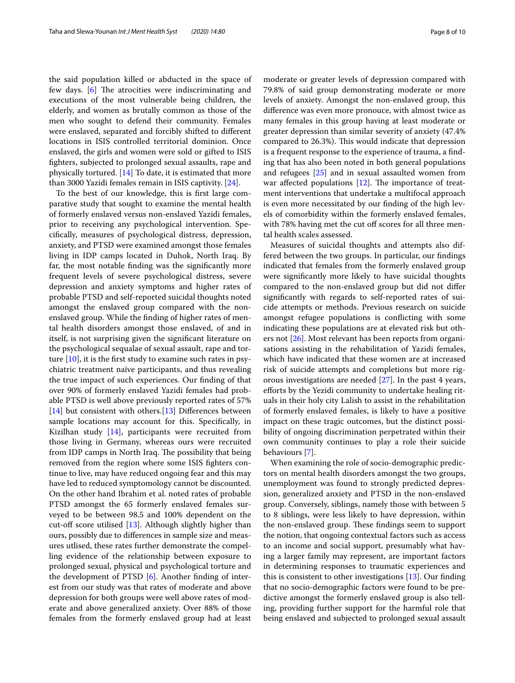the said population killed or abducted in the space of few days.  $[6]$  $[6]$  The atrocities were indiscriminating and executions of the most vulnerable being children, the elderly, and women as brutally common as those of the men who sought to defend their community. Females were enslaved, separated and forcibly shifted to diferent locations in ISIS controlled territorial dominion. Once enslaved, the girls and women were sold or gifted to ISIS fghters, subjected to prolonged sexual assaults, rape and physically tortured. [\[14\]](#page-9-6) To date, it is estimated that more than 3000 Yazidi females remain in ISIS captivity. [[24\]](#page-9-16).

To the best of our knowledge, this is frst large comparative study that sought to examine the mental health of formerly enslaved versus non-enslaved Yazidi females, prior to receiving any psychological intervention. Specifcally, measures of psychological distress, depression, anxiety, and PTSD were examined amongst those females living in IDP camps located in Duhok, North Iraq. By far, the most notable fnding was the signifcantly more frequent levels of severe psychological distress, severe depression and anxiety symptoms and higher rates of probable PTSD and self-reported suicidal thoughts noted amongst the enslaved group compared with the nonenslaved group. While the fnding of higher rates of mental health disorders amongst those enslaved, of and in itself, is not surprising given the signifcant literature on the psychological sequalae of sexual assault, rape and torture [[10\]](#page-9-2), it is the frst study to examine such rates in psychiatric treatment naïve participants, and thus revealing the true impact of such experiences. Our fnding of that over 90% of formerly enslaved Yazidi females had probable PTSD is well above previously reported rates of 57% [[14\]](#page-9-6) but consistent with others.[\[13](#page-9-5)] Differences between sample locations may account for this. Specifcally, in Kizilhan study [\[14](#page-9-6)], participants were recruited from those living in Germany, whereas ours were recruited from IDP camps in North Iraq. The possibility that being removed from the region where some ISIS fghters continue to live, may have reduced ongoing fear and this may have led to reduced symptomology cannot be discounted. On the other hand Ibrahim et al. noted rates of probable PTSD amongst the 65 formerly enslaved females surveyed to be between 98.5 and 100% dependent on the cut-off score utilised  $[13]$  $[13]$ . Although slightly higher than ours, possibly due to diferences in sample size and measures utlised, these rates further demonstrate the compelling evidence of the relationship between exposure to prolonged sexual, physical and psychological torture and the development of PTSD [\[6](#page-8-5)]. Another fnding of interest from our study was that rates of moderate and above depression for both groups were well above rates of moderate and above generalized anxiety. Over 88% of those females from the formerly enslaved group had at least moderate or greater levels of depression compared with 79.8% of said group demonstrating moderate or more levels of anxiety. Amongst the non-enslaved group, this diference was even more pronouce, with almost twice as many females in this group having at least moderate or greater depression than similar severity of anxiety (47.4% compared to 26.3%). This would indicate that depression is a frequent response to the experience of trauma, a fnding that has also been noted in both general populations and refugees [\[25](#page-9-17)] and in sexual assaulted women from war affected populations  $[12]$ . The importance of treatment interventions that undertake a multifocal approach is even more necessitated by our fnding of the high levels of comorbidity within the formerly enslaved females, with 78% having met the cut off scores for all three mental health scales assessed.

Measures of suicidal thoughts and attempts also differed between the two groups. In particular, our fndings indicated that females from the formerly enslaved group were signifcantly more likely to have suicidal thoughts compared to the non-enslaved group but did not difer signifcantly with regards to self-reported rates of suicide attempts or methods. Previous research on suicide amongst refugee populations is conficting with some indicating these populations are at elevated risk but others not [[26\]](#page-9-18). Most relevant has been reports from organisations assisting in the rehabilitation of Yazidi females, which have indicated that these women are at increased risk of suicide attempts and completions but more rigorous investigations are needed [\[27](#page-9-19)]. In the past 4 years, efforts by the Yezidi community to undertake healing rituals in their holy city Lalish to assist in the rehabilitation of formerly enslaved females, is likely to have a positive impact on these tragic outcomes, but the distinct possibility of ongoing discrimination perpetrated within their own community continues to play a role their suicide behaviours [[7\]](#page-9-20).

When examining the role of socio-demographic predictors on mental health disorders amongst the two groups, unemployment was found to strongly predicted depression, generalized anxiety and PTSD in the non-enslaved group. Conversely, siblings, namely those with between 5 to 8 siblings, were less likely to have depression, within the non-enslaved group. These findings seem to support the notion, that ongoing contextual factors such as access to an income and social support, presumably what having a larger family may represent, are important factors in determining responses to traumatic experiences and this is consistent to other investigations [\[13](#page-9-5)]. Our fnding that no socio-demographic factors were found to be predictive amongst the formerly enslaved group is also telling, providing further support for the harmful role that being enslaved and subjected to prolonged sexual assault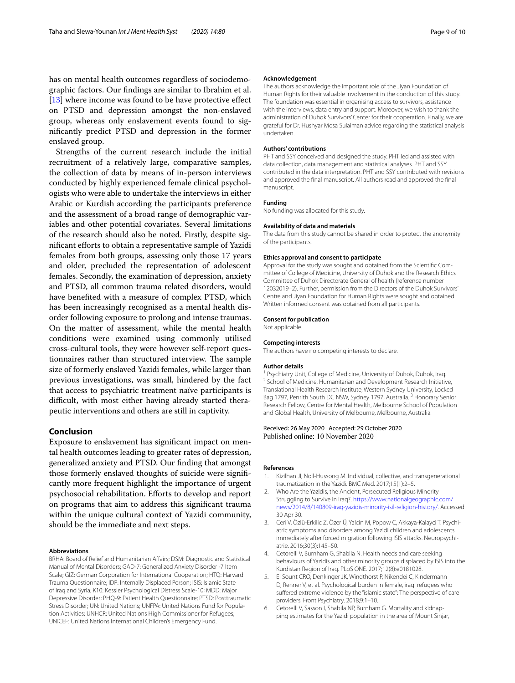has on mental health outcomes regardless of sociodemographic factors. Our fndings are similar to Ibrahim et al. [[13\]](#page-9-5) where income was found to be have protective effect on PTSD and depression amongst the non-enslaved group, whereas only enslavement events found to signifcantly predict PTSD and depression in the former enslaved group.

Strengths of the current research include the initial recruitment of a relatively large, comparative samples, the collection of data by means of in-person interviews conducted by highly experienced female clinical psychologists who were able to undertake the interviews in either Arabic or Kurdish according the participants preference and the assessment of a broad range of demographic variables and other potential covariates. Several limitations of the research should also be noted. Firstly, despite signifcant eforts to obtain a representative sample of Yazidi females from both groups, assessing only those 17 years and older, precluded the representation of adolescent females. Secondly, the examination of depression, anxiety and PTSD, all common trauma related disorders, would have benefted with a measure of complex PTSD, which has been increasingly recognised as a mental health disorder following exposure to prolong and intense traumas. On the matter of assessment, while the mental health conditions were examined using commonly utilised cross-cultural tools, they were however self-report questionnaires rather than structured interview. The sample size of formerly enslaved Yazidi females, while larger than previous investigations, was small, hindered by the fact that access to psychiatric treatment naïve participants is difficult, with most either having already started therapeutic interventions and others are still in captivity.

#### **Conclusion**

Exposure to enslavement has signifcant impact on mental health outcomes leading to greater rates of depression, generalized anxiety and PTSD. Our fnding that amongst those formerly enslaved thoughts of suicide were signifcantly more frequent highlight the importance of urgent psychosocial rehabilitation. Eforts to develop and report on programs that aim to address this signifcant trauma within the unique cultural context of Yazidi community, should be the immediate and next steps.

#### **Abbreviations**

BRHA: Board of Relief and Humanitarian Afairs; DSM: Diagnostic and Statistical Manual of Mental Disorders; GAD-7: Generalized Anxiety Disorder -7 Item Scale; GIZ: German Corporation for International Cooperation; HTQ: Harvard Trauma Questionnaire; IDP: Internally Displaced Person; ISIS: Islamic State of Iraq and Syria; K10: Kessler Psychological Distress Scale-10; MDD: Major Depressive Disorder; PHQ-9: Patient Health Questionnaire; PTSD: Posttraumatic Stress Disorder; UN: United Nations; UNFPA: United Nations Fund for Population Activities; UNHCR: United Nations High Commissioner for Refugees; UNICEF: United Nations International Children's Emergency Fund.

#### **Acknowledgement**

The authors acknowledge the important role of the Jiyan Foundation of Human Rights for their valuable involvement in the conduction of this study. The foundation was essential in organising access to survivors, assistance with the interviews, data entry and support. Moreover, we wish to thank the administration of Duhok Survivors' Center for their cooperation. Finally, we are grateful for Dr. Hushyar Mosa Sulaiman advice regarding the statistical analysis undertaken.

#### **Authors' contributions**

PHT and SSY conceived and designed the study. PHT led and assisted with data collection, data management and statistical analyses. PHT and SSY contributed in the data interpretation. PHT and SSY contributed with revisions and approved the fnal manuscript. All authors read and approved the fnal manuscript.

#### **Funding**

No funding was allocated for this study.

#### **Availability of data and materials**

The data from this study cannot be shared in order to protect the anonymity of the participants.

#### **Ethics approval and consent to participate**

Approval for the study was sought and obtained from the Scientific Committee of College of Medicine, University of Duhok and the Research Ethics Committee of Duhok Directorate General of health (reference number 12032019–2). Further, permission from the Directors of the Duhok Survivors' Centre and Jiyan Foundation for Human Rights were sought and obtained. Written informed consent was obtained from all participants.

#### **Consent for publication**

Not applicable.

#### **Competing interests**

The authors have no competing interests to declare.

#### **Author details**

<sup>1</sup> Psychiatry Unit, College of Medicine, University of Duhok, Duhok, Iraq.<br><sup>2</sup> School of Medicine, Humanitarian and Development Research Initiative, Translational Health Research Institute, Western Sydney University, Locked Bag 1797, Penrith South DC NSW, Sydney 1797, Australia. <sup>3</sup> Honorary Senior Research Fellow, Centre for Mental Health, Melbourne School of Population and Global Health, University of Melbourne, Melbourne, Australia.

#### Received: 26 May 2020 Accepted: 29 October 2020 Published online: 10 November 2020

#### **References**

- <span id="page-8-0"></span>1. Kizilhan JI, Noll-Hussong M. Individual, collective, and transgenerational traumatization in the Yazidi. BMC Med. 2017;15(1):2–5.
- <span id="page-8-1"></span>2. Who Are the Yazidis, the Ancient, Persecuted Religious Minority Struggling to Survive in Iraq?. [https://www.nationalgeographic.com/](https://www.nationalgeographic.com/news/2014/8/140809-iraq-yazidis-minority-isil-religion-history/) [news/2014/8/140809-iraq-yazidis-minority-isil-religion-history/](https://www.nationalgeographic.com/news/2014/8/140809-iraq-yazidis-minority-isil-religion-history/). Accessed 30 Apr 30.
- <span id="page-8-2"></span>3. Ceri V, Özlü-Erkilic Z, Özer Ü, Yalcin M, Popow C, Akkaya-Kalayci T. Psychiatric symptoms and disorders among Yazidi children and adolescents immediately after forced migration following ISIS attacks. Neuropsychiatrie. 2016;30(3):145–50.
- <span id="page-8-3"></span>4. Cetorelli V, Burnham G, Shabila N. Health needs and care seeking behaviours of Yazidis and other minority groups displaced by ISIS into the Kurdistan Region of Iraq. PLoS ONE. 2017;12(8):e0181028.
- <span id="page-8-4"></span>5. El Sount CRO, Denkinger JK, Windthorst P, Nikendei C, Kindermann D, Renner V, et al. Psychological burden in female, iraqi refugees who suffered extreme violence by the "islamic state": The perspective of care providers. Front Psychiatry. 2018;9:1–10.
- <span id="page-8-5"></span>6. Cetorelli V, Sasson I, Shabila NP, Burnham G. Mortality and kidnapping estimates for the Yazidi population in the area of Mount Sinjar,